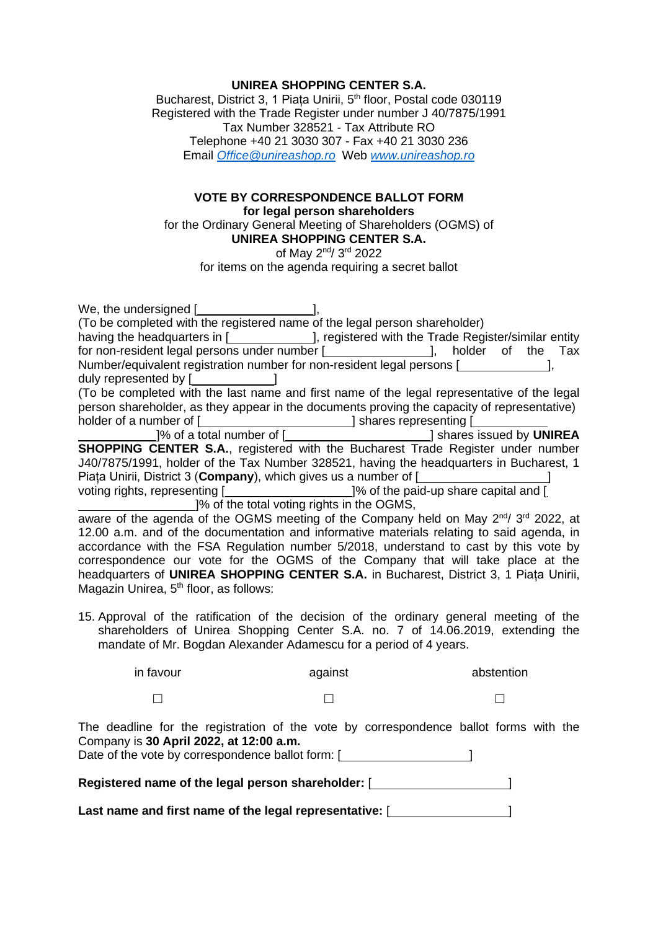## **UNIREA SHOPPING CENTER S.A.**

Bucharest, District 3, 1 Piața Unirii, 5<sup>th</sup> floor, Postal code 030119 Registered with the Trade Register under number J 40/7875/1991 Tax Number 328521 - Tax Attribute RO Telephone +40 21 3030 307 - Fax +40 21 3030 236 Email *[Office@unireashop.ro](mailto:Office@unireashop.ro)* Web *[www.unireashop.ro](http://www.unireashop.ro/)*

## **VOTE BY CORRESPONDENCE BALLOT FORM for legal person shareholders**

for the Ordinary General Meeting of Shareholders (OGMS) of **UNIREA SHOPPING CENTER S.A.**

of May 2<sup>nd</sup>/ 3<sup>rd</sup> 2022

for items on the agenda requiring a secret ballot

| We, the undersigned [ $\frac{1}{2}$ ],<br>(To be completed with the registered name of the legal person shareholder) |
|----------------------------------------------------------------------------------------------------------------------|
| having the headquarters in [ <b>wire in the Strute 1</b> ], registered with the Trade Register/similar entity        |
| for non-resident legal persons under number [ <i>_________________</i> ], holder of the Tax                          |
| Number/equivalent registration number for non-resident legal persons [                                               |
| duly represented by [ <b>will-contain the container</b> and all                                                      |
| (To be completed with the last name and first name of the legal representative of the legal                          |
| person shareholder, as they appear in the documents proving the capacity of representative)                          |
| holder of a number of [ <i>_______________________</i> ] shares representing [ <i>____________</i>                   |
| [24] Shares issued by UNIREA [23] Shares issued by UNIREA                                                            |
| <b>SHOPPING CENTER S.A., registered with the Bucharest Trade Register under number</b>                               |
| J40/7875/1991, holder of the Tax Number 328521, having the headquarters in Bucharest, 1                              |
| Piata Unirii, District 3 (Company), which gives us a number of [ <i>[[[[[[[[[[[[[[[[]]]</i> ]]                       |
| voting rights, representing [ <i>_____________________</i> ]% of the paid-up share capital and [                     |
| 1% of the total voting rights in the OGMS,                                                                           |
| aware of the agenda of the OGMS meeting of the Company held on May $2^{nd}$ 3 <sup>rd</sup> 2022, at                 |
| 12.00 a.m. and of the documentation and informative materials relating to said agenda, in                            |
| accordance with the FSA Regulation number 5/2018, understand to cast by this vote by                                 |
| correspondence our vote for the OGMS of the Company that will take place at the                                      |
| headquarters of UNIREA SHOPPING CENTER S.A. in Bucharest, District 3, 1 Piata Unirii,                                |
| Magazin Unirea, 5 <sup>th</sup> floor, as follows:                                                                   |
|                                                                                                                      |
| 15 Approval of the ratification of the decision of the ordinary general meeting of the                               |

15. Approval of the ratification of the decision of the ordinary general meeting of the shareholders of Unirea Shopping Center S.A. no. 7 of 14.06.2019, extending the mandate of Mr. Bogdan Alexander Adamescu for a period of 4 years.

| in favour | against | abstention |
|-----------|---------|------------|
|           |         |            |

The deadline for the registration of the vote by correspondence ballot forms with the Company is **30 April 2022, at 12:00 a.m.**

Date of the vote by correspondence ballot form: [

**Registered name of the legal person shareholder:** [ ]

**Last name and first name of the legal representative:** [ ]